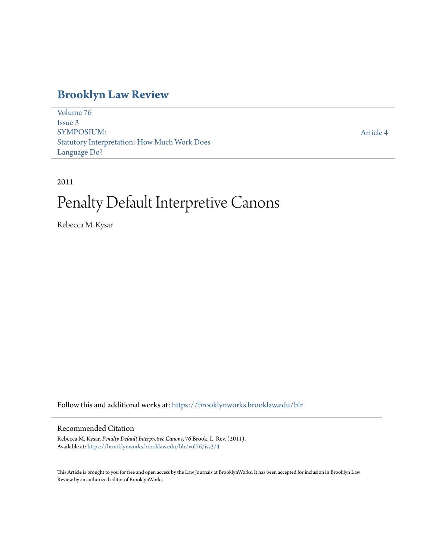## **[Brooklyn Law Review](https://brooklynworks.brooklaw.edu/blr?utm_source=brooklynworks.brooklaw.edu%2Fblr%2Fvol76%2Fiss3%2F4&utm_medium=PDF&utm_campaign=PDFCoverPages)**

[Volume 76](https://brooklynworks.brooklaw.edu/blr/vol76?utm_source=brooklynworks.brooklaw.edu%2Fblr%2Fvol76%2Fiss3%2F4&utm_medium=PDF&utm_campaign=PDFCoverPages) [Issue 3](https://brooklynworks.brooklaw.edu/blr/vol76/iss3?utm_source=brooklynworks.brooklaw.edu%2Fblr%2Fvol76%2Fiss3%2F4&utm_medium=PDF&utm_campaign=PDFCoverPages) SYMPOSIUM: Statutory Interpretation: How Much Work Does Language Do?

[Article 4](https://brooklynworks.brooklaw.edu/blr/vol76/iss3/4?utm_source=brooklynworks.brooklaw.edu%2Fblr%2Fvol76%2Fiss3%2F4&utm_medium=PDF&utm_campaign=PDFCoverPages)

### 2011

# Penalty Default Interpretive Canons

Rebecca M. Kysar

Follow this and additional works at: [https://brooklynworks.brooklaw.edu/blr](https://brooklynworks.brooklaw.edu/blr?utm_source=brooklynworks.brooklaw.edu%2Fblr%2Fvol76%2Fiss3%2F4&utm_medium=PDF&utm_campaign=PDFCoverPages)

#### Recommended Citation

Rebecca M. Kysar, *Penalty Default Interpretive Canons*, 76 Brook. L. Rev. (2011). Available at: [https://brooklynworks.brooklaw.edu/blr/vol76/iss3/4](https://brooklynworks.brooklaw.edu/blr/vol76/iss3/4?utm_source=brooklynworks.brooklaw.edu%2Fblr%2Fvol76%2Fiss3%2F4&utm_medium=PDF&utm_campaign=PDFCoverPages)

This Article is brought to you for free and open access by the Law Journals at BrooklynWorks. It has been accepted for inclusion in Brooklyn Law Review by an authorized editor of BrooklynWorks.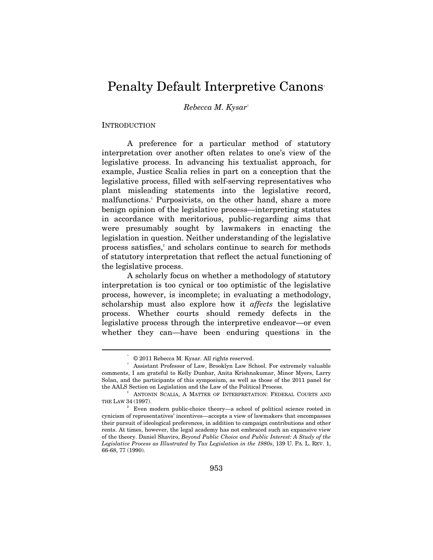## Penalty Default Interpretive Canons<sup>\*</sup>

*Rebecca M. Kysar*†

INTRODUCTION

 $\overline{a}$ 

A preference for a particular method of statutory interpretation over another often relates to one's view of the legislative process. In advancing his textualist approach, for example, Justice Scalia relies in part on a conception that the legislative process, filled with self-serving representatives who plant misleading statements into the legislative record, malfunctions.1 Purposivists, on the other hand, share a more benign opinion of the legislative process—interpreting statutes in accordance with meritorious, public-regarding aims that were presumably sought by lawmakers in enacting the legislation in question. Neither understanding of the legislative process satisfies,<sup>2</sup> and scholars continue to search for methods of statutory interpretation that reflect the actual functioning of the legislative process.

A scholarly focus on whether a methodology of statutory interpretation is too cynical or too optimistic of the legislative process, however, is incomplete; in evaluating a methodology, scholarship must also explore how it *affects* the legislative process. Whether courts should remedy defects in the legislative process through the interpretive endeavor—or even whether they can—have been enduring questions in the

 <sup>\* © 2011</sup> Rebecca M. Kysar. All rights reserved.

 $^\dagger$  Assistant Professor of Law, Brooklyn Law School. For extremely valuable comments, I am grateful to Kelly Dunbar, Anita Krishnakumar, Minor Myers, Larry Solan, and the participants of this symposium, as well as those of the 2011 panel for the AALS Section on Legislation and the Law of the Political Process. 1

<sup>&</sup>lt;sup>1</sup> ANTONIN SCALIA, A MATTER OF INTERPRETATION: FEDERAL COURTS AND THE LAW 34 (1997).

<sup>2</sup> Even modern public-choice theory—a school of political science rooted in cynicism of representatives' incentives—accepts a view of lawmakers that encompasses their pursuit of ideological preferences, in addition to campaign contributions and other rents. At times, however, the legal academy has not embraced such an expansive view of the theory. Daniel Shaviro, *Beyond Public Choice and Public Interest: A Study of the Legislative Process as Illustrated by Tax Legislation in the 1980s*, 139 U. PA. L. REV. 1, 66-68, 77 (1990).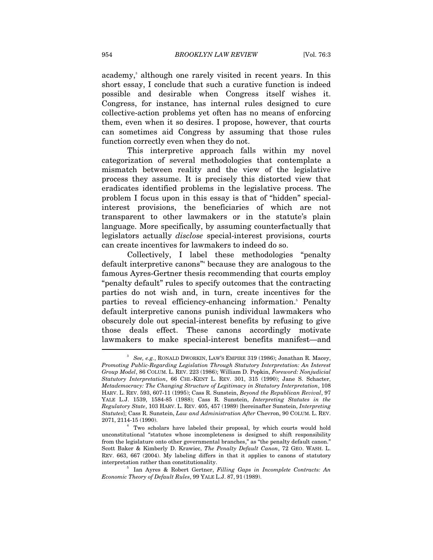academy,<sup>3</sup> although one rarely visited in recent years. In this short essay, I conclude that such a curative function is indeed possible and desirable when Congress itself wishes it. Congress, for instance, has internal rules designed to cure collective-action problems yet often has no means of enforcing them, even when it so desires. I propose, however, that courts can sometimes aid Congress by assuming that those rules function correctly even when they do not.

This interpretive approach falls within my novel categorization of several methodologies that contemplate a mismatch between reality and the view of the legislative process they assume. It is precisely this distorted view that eradicates identified problems in the legislative process. The problem I focus upon in this essay is that of "hidden" specialinterest provisions, the beneficiaries of which are not transparent to other lawmakers or in the statute's plain language. More specifically, by assuming counterfactually that legislators actually *disclose* special-interest provisions, courts can create incentives for lawmakers to indeed do so.

Collectively, I label these methodologies "penalty default interpretive canons"4 because they are analogous to the famous Ayres-Gertner thesis recommending that courts employ "penalty default" rules to specify outcomes that the contracting parties do not wish and, in turn, create incentives for the parties to reveal efficiency-enhancing information.<sup>5</sup> Penalty default interpretive canons punish individual lawmakers who obscurely dole out special-interest benefits by refusing to give those deals effect. These canons accordingly motivate lawmakers to make special-interest benefits manifest—and I

<sup>3</sup>  *See, e.g.*, RONALD DWORKIN, LAW'S EMPIRE 319 (1986); Jonathan R. Macey, *Promoting Public-Regarding Legislation Through Statutory Interpretation: An Interest Group Model*, 86 COLUM. L. REV. 223 (1986); William D. Popkin, *Foreword: Nonjudicial Statutory Interpretation*, 66 CHI.-KENT L. REV. 301, 315 (1990); Jane S. Schacter, *Metademocracy: The Changing Structure of Legitimacy in Statutory Interpretation*, 108 HARV. L. REV. 593, 607-11 (1995); Cass R. Sunstein, *Beyond the Republican Revival*, 97 YALE L.J. 1539, 1584-85 (1988); Cass R. Sunstein, *Interpreting Statutes in the Regulatory State*, 103 HARV. L. REV. 405, 457 (1989) [hereinafter Sunstein, *Interpreting Statutes*]; Cass R. Sunstein, *Law and Administration After* Chevron, 90 COLUM. L. REV. 2071, 2114-15 (1990). 4

<sup>&</sup>lt;sup>1</sup> Two scholars have labeled their proposal, by which courts would hold unconstitutional "statutes whose incompleteness is designed to shift responsibility from the legislature onto other governmental branches," as "the penalty default canon." Scott Baker & Kimberly D. Krawiec, *The Penalty Default Canon*, 72 GEO. WASH. L. REV. 663, 667 (2004). My labeling differs in that it applies to canons of statutory interpretation rather than constitutionality. 5

Ian Ayres & Robert Gertner, *Filling Gaps in Incomplete Contracts: An Economic Theory of Default Rules*, 99 YALE L.J. 87, 91 (1989).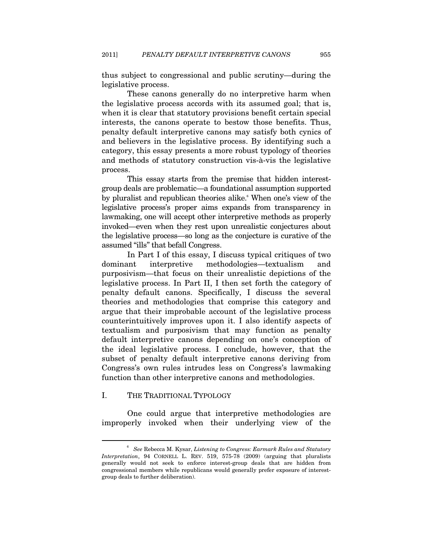thus subject to congressional and public scrutiny—during the legislative process.

These canons generally do no interpretive harm when the legislative process accords with its assumed goal; that is, when it is clear that statutory provisions benefit certain special interests, the canons operate to bestow those benefits. Thus, penalty default interpretive canons may satisfy both cynics of and believers in the legislative process. By identifying such a category, this essay presents a more robust typology of theories and methods of statutory construction vis-à-vis the legislative process.

This essay starts from the premise that hidden interestgroup deals are problematic—a foundational assumption supported by pluralist and republican theories alike.<sup>6</sup> When one's view of the legislative process's proper aims expands from transparency in lawmaking, one will accept other interpretive methods as properly invoked—even when they rest upon unrealistic conjectures about the legislative process—so long as the conjecture is curative of the assumed "ills" that befall Congress.

In Part I of this essay, I discuss typical critiques of two dominant interpretive methodologies—textualism and purposivism—that focus on their unrealistic depictions of the legislative process. In Part II, I then set forth the category of penalty default canons. Specifically, I discuss the several theories and methodologies that comprise this category and argue that their improbable account of the legislative process counterintuitively improves upon it. I also identify aspects of textualism and purposivism that may function as penalty default interpretive canons depending on one's conception of the ideal legislative process. I conclude, however, that the subset of penalty default interpretive canons deriving from Congress's own rules intrudes less on Congress's lawmaking function than other interpretive canons and methodologies.

#### I. THE TRADITIONAL TYPOLOGY

 $\overline{a}$ 

One could argue that interpretive methodologies are improperly invoked when their underlying view of the

<sup>6</sup>  *See* Rebecca M. Kysar, *Listening to Congress: Earmark Rules and Statutory Interpretation*, 94 CORNELL L. REV. 519, 575-78 (2009) (arguing that pluralists generally would not seek to enforce interest-group deals that are hidden from congressional members while republicans would generally prefer exposure of interestgroup deals to further deliberation).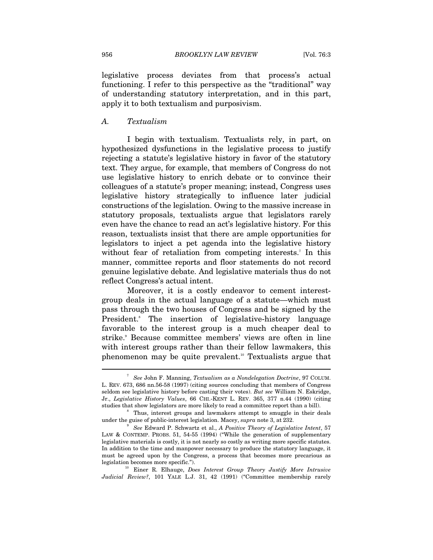legislative process deviates from that process's actual functioning. I refer to this perspective as the "traditional" way of understanding statutory interpretation, and in this part, apply it to both textualism and purposivism.

#### *A. Textualism*

I begin with textualism. Textualists rely, in part, on hypothesized dysfunctions in the legislative process to justify rejecting a statute's legislative history in favor of the statutory text. They argue, for example, that members of Congress do not use legislative history to enrich debate or to convince their colleagues of a statute's proper meaning; instead, Congress uses legislative history strategically to influence later judicial constructions of the legislation. Owing to the massive increase in statutory proposals, textualists argue that legislators rarely even have the chance to read an act's legislative history. For this reason, textualists insist that there are ample opportunities for legislators to inject a pet agenda into the legislative history without fear of retaliation from competing interests.<sup>7</sup> In this manner, committee reports and floor statements do not record genuine legislative debate. And legislative materials thus do not reflect Congress's actual intent.

Moreover, it is a costly endeavor to cement interestgroup deals in the actual language of a statute—which must pass through the two houses of Congress and be signed by the President.<sup>8</sup> The insertion of legislative-history language favorable to the interest group is a much cheaper deal to strike.<sup>9</sup> Because committee members' views are often in line with interest groups rather than their fellow lawmakers, this phenomenon may be quite prevalent.10 Textualists argue that

*Judicial Review?*, 101 YALE L.J. 31, 42 (1991) ("Committee membership rarely

<sup>7</sup>  *See* John F. Manning, *Textualism as a Nondelegation Doctrine*, 97 COLUM. L. REV. 673, 686 nn.56-58 (1997) (citing sources concluding that members of Congress seldom see legislative history before casting their votes). *But see* William N. Eskridge, Jr., *Legislative History Values*, 66 CHI.-KENT L. REV. 365, 377 n.44 (1990) (citing studies that show legislators are more likely to read a committee report than a bill). 8

<sup>&</sup>lt;sup>8</sup> Thus, interest groups and lawmakers attempt to smuggle in their deals under the guise of public-interest legislation. Macey, *supra* note 3, at 232.

<sup>9</sup>  *See* Edward P. Schwartz et al., *A Positive Theory of Legislative Intent*, 57 LAW & CONTEMP. PROBS. 51, 54-55 (1994) ("While the generation of supplementary legislative materials is costly, it is not nearly so costly as writing more specific statutes. In addition to the time and manpower necessary to produce the statutory language, it must be agreed upon by the Congress, a process that becomes more precarious as legislation becomes more specific."). 10 Einer R. Elhauge, *Does Interest Group Theory Justify More Intrusive*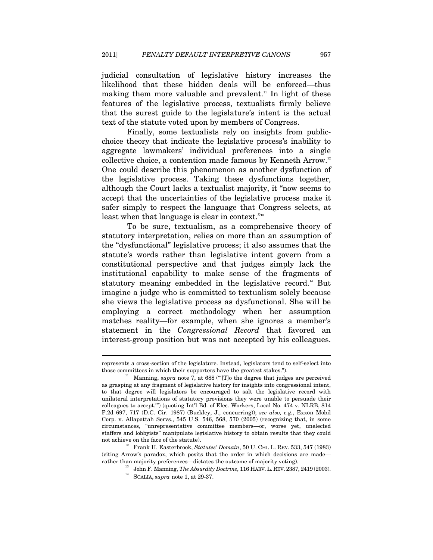judicial consultation of legislative history increases the likelihood that these hidden deals will be enforced—thus making them more valuable and prevalent.<sup>11</sup> In light of these features of the legislative process, textualists firmly believe that the surest guide to the legislature's intent is the actual text of the statute voted upon by members of Congress.

Finally, some textualists rely on insights from publicchoice theory that indicate the legislative process's inability to aggregate lawmakers' individual preferences into a single collective choice, a contention made famous by Kenneth Arrow.12 One could describe this phenomenon as another dysfunction of the legislative process. Taking these dysfunctions together, although the Court lacks a textualist majority, it "now seems to accept that the uncertainties of the legislative process make it safer simply to respect the language that Congress selects, at least when that language is clear in context."<sup>13</sup>

To be sure, textualism, as a comprehensive theory of statutory interpretation, relies on more than an assumption of the "dysfunctional" legislative process; it also assumes that the statute's words rather than legislative intent govern from a constitutional perspective and that judges simply lack the institutional capability to make sense of the fragments of statutory meaning embedded in the legislative record.<sup>14</sup> But imagine a judge who is committed to textualism solely because she views the legislative process as dysfunctional. She will be employing a correct methodology when her assumption matches reality—for example, when she ignores a member's statement in the *Congressional Record* that favored an interest-group position but was not accepted by his colleagues.

represents a cross-section of the legislature. Instead, legislators tend to self-select into

those committees in which their supporters have the greatest stakes."). 11 Manning, *supra* note 7, at 688 ("'[T]o the degree that judges are perceived as grasping at any fragment of legislative history for insights into congressional intent, to that degree will legislators be encouraged to salt the legislative record with unilateral interpretations of statutory provisions they were unable to persuade their colleagues to accept.'") (quoting Int'l Bd. of Elec. Workers, Local No. 474 v. NLRB, 814 F.2d 697, 717 (D.C. Cir. 1987) (Buckley, J., concurring)); *see also, e.g.*, Exxon Mobil Corp. v. Allapattah Servs*.*, 545 U.S. 546, 568, 570 (2005) (recognizing that, in some circumstances, "unrepresentative committee members—or, worse yet, unelected staffers and lobbyists" manipulate legislative history to obtain results that they could

not achieve on the face of the statute). 12 Frank H. Easterbrook, *Statutes' Domain*, 50 U. CHI. L. REV. 533, 547 (1983) (citing Arrow's paradox, which posits that the order in which decisions are made rather than majority preferences—dictates the outcome of majority voting). 13 John F. Manning, *The Absurdity Doctrine*, 116 HARV. L. REV. 2387, <sup>2419</sup> (2003). 14 SCALIA, *supra* note 1, at 29-37.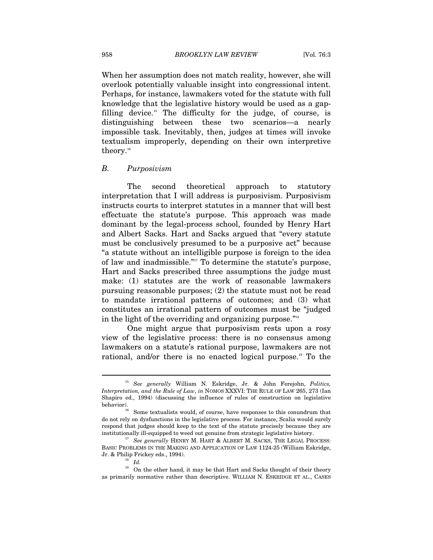When her assumption does not match reality, however, she will overlook potentially valuable insight into congressional intent. Perhaps, for instance, lawmakers voted for the statute with full knowledge that the legislative history would be used as a gapfilling device.<sup>15</sup> The difficulty for the judge, of course, is distinguishing between these two scenarios—a nearly impossible task. Inevitably, then, judges at times will invoke textualism improperly, depending on their own interpretive theory.<sup>16</sup>

#### *B. Purposivism*

The second theoretical approach to statutory interpretation that I will address is purposivism. Purposivism instructs courts to interpret statutes in a manner that will best effectuate the statute's purpose. This approach was made dominant by the legal-process school, founded by Henry Hart and Albert Sacks. Hart and Sacks argued that "every statute must be conclusively presumed to be a purposive act" because "a statute without an intelligible purpose is foreign to the idea of law and inadmissible."17 To determine the statute's purpose, Hart and Sacks prescribed three assumptions the judge must make: (1) statutes are the work of reasonable lawmakers pursuing reasonable purposes; (2) the statute must not be read to mandate irrational patterns of outcomes; and (3) what constitutes an irrational pattern of outcomes must be "judged in the light of the overriding and organizing purpose."<sup>18</sup>

One might argue that purposivism rests upon a rosy view of the legislative process: there is no consensus among lawmakers on a statute's rational purpose, lawmakers are not rational, and/or there is no enacted logical purpose.<sup>19</sup> To the

<sup>15</sup> *See generally* William N. Eskridge, Jr. & John Ferejohn, *Politics, Interpretation, and the Rule of Law*, *in* NOMOS XXXVI: THE RULE OF LAW 265, 273 (Ian Shapiro ed., 1994) (discussing the influence of rules of construction on legislative behavior).<br><sup>16</sup> Some textualists would, of course, have responses to this conundrum that

do not rely on dysfunctions in the legislative process. For instance, Scalia would surely respond that judges should keep to the text of the statute precisely because they are institutionally ill-equipped to weed out genuine from strategic legislative history. 17 *See generally* HENRY M. HART & ALBERT M. SACKS, THE LEGAL PROCESS:

BASIC PROBLEMS IN THE MAKING AND APPLICATION OF LAW 1124-25 (William Eskridge, Jr. & Philip Frickey eds., 1994). 18 *Id.* 

<sup>&</sup>lt;sup>19</sup> On the other hand, it may be that Hart and Sacks thought of their theory as primarily normative rather than descriptive. WILLIAM N. ESKRIDGE ET AL., CASES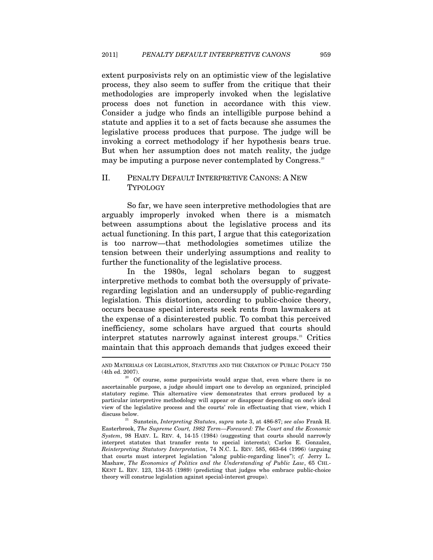extent purposivists rely on an optimistic view of the legislative process, they also seem to suffer from the critique that their methodologies are improperly invoked when the legislative process does not function in accordance with this view. Consider a judge who finds an intelligible purpose behind a statute and applies it to a set of facts because she assumes the legislative process produces that purpose. The judge will be invoking a correct methodology if her hypothesis bears true. But when her assumption does not match reality, the judge may be imputing a purpose never contemplated by Congress.<sup>20</sup>

#### II. PENALTY DEFAULT INTERPRETIVE CANONS: A NEW TYPOLOGY

So far, we have seen interpretive methodologies that are arguably improperly invoked when there is a mismatch between assumptions about the legislative process and its actual functioning. In this part, I argue that this categorization is too narrow—that methodologies sometimes utilize the tension between their underlying assumptions and reality to further the functionality of the legislative process.

In the 1980s, legal scholars began to suggest interpretive methods to combat both the oversupply of privateregarding legislation and an undersupply of public-regarding legislation. This distortion, according to public-choice theory, occurs because special interests seek rents from lawmakers at the expense of a disinterested public. To combat this perceived inefficiency, some scholars have argued that courts should interpret statutes narrowly against interest groups.<sup>21</sup> Critics maintain that this approach demands that judges exceed their  $\overline{a}$ 

AND MATERIALS ON LEGISLATION, STATUTES AND THE CREATION OF PUBLIC POLICY 750

<sup>(4</sup>th ed. 2007).  $\frac{20}{20}$  Of course, some purposivists would argue that, even where there is no ascertainable purpose, a judge should impart one to develop an organized, principled statutory regime. This alternative view demonstrates that errors produced by a particular interpretive methodology will appear or disappear depending on one's ideal view of the legislative process and the courts' role in effectuating that view, which I

discuss below. 21 Sunstein, *Interpreting Statutes*, *supra* note 3, at 486-87; *see also* Frank H. Easterbrook, *The Supreme Court, 1982 Term—Foreword: The Court and the Economic System*, 98 HARV. L. REV. 4, 14-15 (1984) (suggesting that courts should narrowly interpret statutes that transfer rents to special interests); Carlos E. Gonzalez, *Reinterpreting Statutory Interpretation*, 74 N.C. L. REV. 585, 663-64 (1996) (arguing that courts must interpret legislation "along public-regarding lines"); *cf.* Jerry L. Mashaw, *The Economics of Politics and the Understanding of Public Law*, 65 CHI.- KENT L. REV. 123, 134-35 (1989) (predicting that judges who embrace public-choice theory will construe legislation against special-interest groups).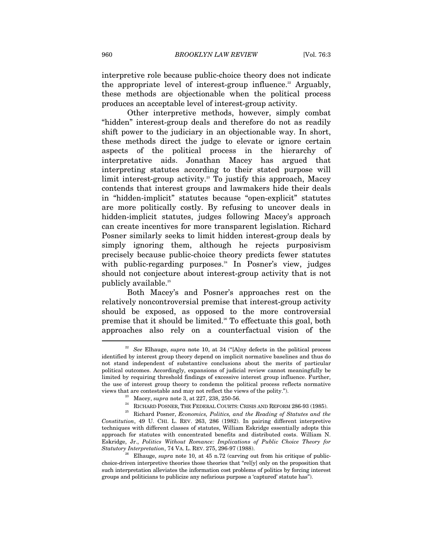interpretive role because public-choice theory does not indicate the appropriate level of interest-group influence.<sup>22</sup> Arguably, these methods are objectionable when the political process produces an acceptable level of interest-group activity.

Other interpretive methods, however, simply combat "hidden" interest-group deals and therefore do not as readily shift power to the judiciary in an objectionable way. In short, these methods direct the judge to elevate or ignore certain aspects of the political process in the hierarchy of interpretative aids. Jonathan Macey has argued that interpreting statutes according to their stated purpose will limit interest-group activity.<sup>23</sup> To justify this approach, Macey contends that interest groups and lawmakers hide their deals in "hidden-implicit" statutes because "open-explicit" statutes are more politically costly. By refusing to uncover deals in hidden-implicit statutes, judges following Macey's approach can create incentives for more transparent legislation. Richard Posner similarly seeks to limit hidden interest-group deals by simply ignoring them, although he rejects purposivism precisely because public-choice theory predicts fewer statutes with public-regarding purposes.<sup>24</sup> In Posner's view, judges should not conjecture about interest-group activity that is not publicly available.<sup>25</sup>

Both Macey's and Posner's approaches rest on the relatively noncontroversial premise that interest-group activity should be exposed, as opposed to the more controversial premise that it should be limited.26 To effectuate this goal, both approaches also rely on a counterfactual vision of the  $\overline{a}$ 

<sup>&</sup>lt;sup>22</sup> See Elhauge, *supra* note 10, at 34 ("[A]ny defects in the political process identified by interest group theory depend on implicit normative baselines and thus do not stand independent of substantive conclusions about the merits of particular political outcomes. Accordingly, expansions of judicial review cannot meaningfully be limited by requiring threshold findings of excessive interest group influence. Further, the use of interest group theory to condemn the political process reflects normative

<sup>%</sup> views that are contestable and may not reflect the views of the polity.").<br>
<sup>23</sup> Macey, *supra* note 3, at 227, 238, 250-56.<br>
<sup>24</sup> RICHARD POSNER, THE FEDERAL COURTS: CRISIS AND REFORM 286-93 (1985).<br>
<sup>25</sup> Richard Posne *Constitution*, 49 U. CHI. L. REV. 263, 286 (1982). In pairing different interpretive techniques with different classes of statutes, William Eskridge essentially adopts this approach for statutes with concentrated benefits and distributed costs. William N. Eskridge, Jr., *Politics Without Romance: Implications of Public Choice Theory for Statutory Interpretation*, 74 VA. L. REV. 275, 296-97 (1988).<br><sup>26</sup> Elhauge, *supra* note 10, at 45 n.72 (carving out from his critique of public-

choice-driven interpretive theories those theories that "rel[y] only on the proposition that such interpretation alleviates the information cost problems of politics by forcing interest groups and politicians to publicize any nefarious purpose a 'captured' statute has").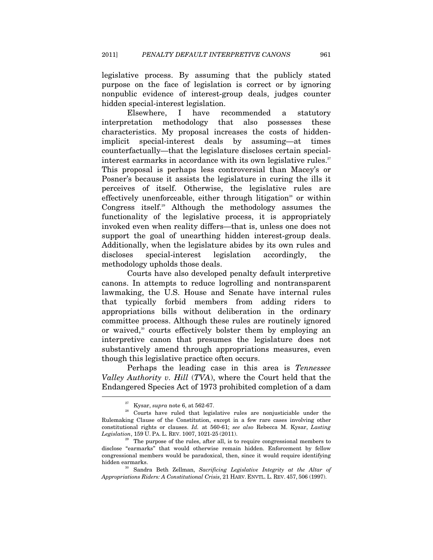legislative process. By assuming that the publicly stated purpose on the face of legislation is correct or by ignoring nonpublic evidence of interest-group deals, judges counter hidden special-interest legislation.

Elsewhere, I have recommended a statutory interpretation methodology that also possesses these characteristics. My proposal increases the costs of hiddenimplicit special-interest deals by assuming—at times counterfactually—that the legislature discloses certain specialinterest earmarks in accordance with its own legislative rules. $27$ This proposal is perhaps less controversial than Macey's or Posner's because it assists the legislature in curing the ills it perceives of itself. Otherwise, the legislative rules are effectively unenforceable, either through litigation<sup>28</sup> or within Congress itself.<sup>29</sup> Although the methodology assumes the functionality of the legislative process, it is appropriately invoked even when reality differs—that is, unless one does not support the goal of unearthing hidden interest-group deals. Additionally, when the legislature abides by its own rules and discloses special-interest legislation accordingly, the methodology upholds those deals.

Courts have also developed penalty default interpretive canons. In attempts to reduce logrolling and nontransparent lawmaking, the U.S. House and Senate have internal rules that typically forbid members from adding riders to appropriations bills without deliberation in the ordinary committee process. Although these rules are routinely ignored or waived,<sup>30</sup> courts effectively bolster them by employing an interpretive canon that presumes the legislature does not substantively amend through appropriations measures, even though this legislative practice often occurs.

Perhaps the leading case in this area is *Tennessee Valley Authority v. Hill* (*TVA*), where the Court held that the Endangered Species Act of 1973 prohibited completion of a dam

<sup>&</sup>lt;sup>27</sup> Kysar, *supra* note 6, at 562-67.<br><sup>28</sup> Courts have ruled that legislative rules are nonjusticiable under the Rulemaking Clause of the Constitution, except in a few rare cases involving other constitutional rights or clauses. *Id.* at 560-61; *see also* Rebecca M. Kysar, *Lasting* 

The purpose of the rules, after all, is to require congressional members to disclose "earmarks" that would otherwise remain hidden. Enforcement by fellow congressional members would be paradoxical, then, since it would require identifying hidden earmarks. 30 Sandra Beth Zellman, *Sacrificing Legislative Integrity at the Altar of* 

*Appropriations Riders: A Constitutional Crisis*, 21 HARV. ENVTL. L. REV. 457, 506 (1997).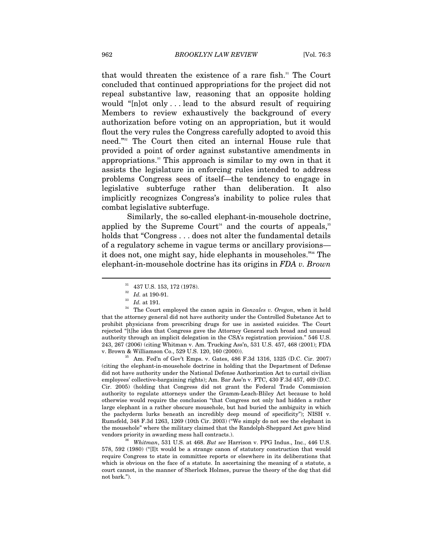that would threaten the existence of a rare fish.<sup>31</sup> The Court concluded that continued appropriations for the project did not repeal substantive law, reasoning that an opposite holding would "[n]ot only . . . lead to the absurd result of requiring Members to review exhaustively the background of every authorization before voting on an appropriation, but it would flout the very rules the Congress carefully adopted to avoid this need."32 The Court then cited an internal House rule that provided a point of order against substantive amendments in appropriations.33 This approach is similar to my own in that it assists the legislature in enforcing rules intended to address problems Congress sees of itself—the tendency to engage in legislative subterfuge rather than deliberation. It also implicitly recognizes Congress's inability to police rules that combat legislative subterfuge.

Similarly, the so-called elephant-in-mousehole doctrine, applied by the Supreme Court<sup>34</sup> and the courts of appeals,<sup>35</sup> holds that "Congress ... does not alter the fundamental details" of a regulatory scheme in vague terms or ancillary provisions it does not, one might say, hide elephants in mouseholes."36 The elephant-in-mousehole doctrine has its origins in *FDA v. Brown* 

 $\overline{a}$ 

(citing the elephant-in-mousehole doctrine in holding that the Department of Defense did not have authority under the National Defense Authorization Act to curtail civilian employees' collective-bargaining rights); Am. Bar Ass'n v. FTC, 430 F.3d 457, 469 (D.C. Cir. 2005) (holding that Congress did not grant the Federal Trade Commission authority to regulate attorneys under the Gramm-Leach-Bliley Act because to hold otherwise would require the conclusion "that Congress not only had hidden a rather large elephant in a rather obscure mousehole, but had buried the ambiguity in which the pachyderm lurks beneath an incredibly deep mound of specificity"); NISH v. Rumsfeld, 348 F.3d 1263, 1269 (10th Cir. 2003) ("We simply do not see the elephant in the mousehole" where the military claimed that the Randolph-Sheppard Act gave blind vendors priority in awarding mess hall contracts.). 36 *Whitman*, 531 U.S. at 468. *But see* Harrison v. PPG Indus., Inc*.*, 446 U.S.

578, 592 (1980) ("[I]t would be a strange canon of statutory construction that would require Congress to state in committee reports or elsewhere in its deliberations that which is obvious on the face of a statute. In ascertaining the meaning of a statute, a court cannot, in the manner of Sherlock Holmes, pursue the theory of the dog that did not bark.").

 $\begin{array}{c} \text{31} \\ \text{32} \end{array}$  437 U.S. 153, 172 (1978).<br> $\begin{array}{c} \text{33} \\ \text{44} \end{array}$  at 190-91.

<sup>&</sup>lt;sup>33</sup> *Id.* at 191. **34** The Court employed the canon again in *Gonzales v. Oregon*, when it held that the attorney general did not have authority under the Controlled Substance Act to prohibit physicians from prescribing drugs for use in assisted suicides. The Court rejected "[t]he idea that Congress gave the Attorney General such broad and unusual authority through an implicit delegation in the CSA's registration provision." 546 U.S. 243, 267 (2006) (citing Whitman v. Am. Trucking Ass'n, 531 U.S. 457, 468 (2001); FDA v. Brown & Williamson Co., 529 U.S. 120, 160 (2000)). 35 Am. Fed'n of Gov't Emps. v. Gates, 486 F.3d 1316, 1325 (D.C. Cir. 2007)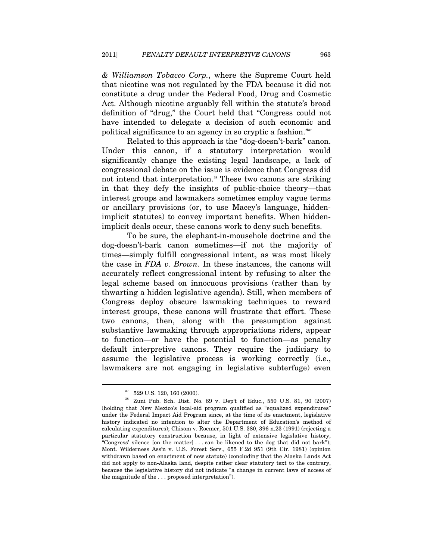*& Williamson Tobacco Corp.*, where the Supreme Court held that nicotine was not regulated by the FDA because it did not constitute a drug under the Federal Food, Drug and Cosmetic Act. Although nicotine arguably fell within the statute's broad definition of "drug," the Court held that "Congress could not have intended to delegate a decision of such economic and political significance to an agency in so cryptic a fashion."37

Related to this approach is the "dog-doesn't-bark" canon. Under this canon, if a statutory interpretation would significantly change the existing legal landscape, a lack of congressional debate on the issue is evidence that Congress did not intend that interpretation.<sup>38</sup> These two canons are striking in that they defy the insights of public-choice theory—that interest groups and lawmakers sometimes employ vague terms or ancillary provisions (or, to use Macey's language, hiddenimplicit statutes) to convey important benefits. When hiddenimplicit deals occur, these canons work to deny such benefits.

To be sure, the elephant-in-mousehole doctrine and the dog-doesn't-bark canon sometimes—if not the majority of times—simply fulfill congressional intent, as was most likely the case in *FDA v. Brown*. In these instances, the canons will accurately reflect congressional intent by refusing to alter the legal scheme based on innocuous provisions (rather than by thwarting a hidden legislative agenda). Still, when members of Congress deploy obscure lawmaking techniques to reward interest groups, these canons will frustrate that effort. These two canons, then, along with the presumption against substantive lawmaking through appropriations riders, appear to function—or have the potential to function—as penalty default interpretive canons. They require the judiciary to assume the legislative process is working correctly (i.e., lawmakers are not engaging in legislative subterfuge) even

<sup>529</sup> U.S. 120, 160 (2000).

<sup>38</sup> Zuni Pub. Sch. Dist. No. 89 v. Dep't of Educ., 550 U.S. 81, 90 (2007) (holding that New Mexico's local-aid program qualified as "equalized expenditures" under the Federal Impact Aid Program since, at the time of its enactment, legislative history indicated no intention to alter the Department of Education's method of calculating expenditures); Chisom v. Roemer, 501 U.S. 380, 396 n.23 (1991) (rejecting a particular statutory construction because, in light of extensive legislative history, "Congress' silence [on the matter] . . . can be likened to the dog that did not bark"); Mont. Wilderness Ass'n v. U.S. Forest Serv., 655 F.2d 951 (9th Cir. 1981) (opinion withdrawn based on enactment of new statute) (concluding that the Alaska Lands Act did not apply to non-Alaska land, despite rather clear statutory text to the contrary, because the legislative history did not indicate "a change in current laws of access of the magnitude of the . . . proposed interpretation").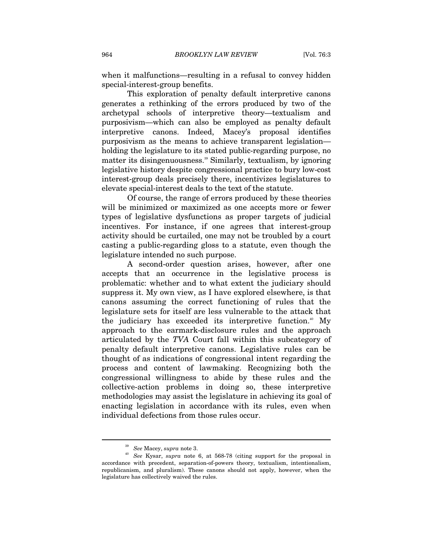when it malfunctions—resulting in a refusal to convey hidden special-interest-group benefits.

This exploration of penalty default interpretive canons generates a rethinking of the errors produced by two of the archetypal schools of interpretive theory—textualism and purposivism—which can also be employed as penalty default interpretive canons. Indeed, Macey's proposal identifies purposivism as the means to achieve transparent legislation holding the legislature to its stated public-regarding purpose, no matter its disingenuousness.<sup>39</sup> Similarly, textualism, by ignoring legislative history despite congressional practice to bury low-cost interest-group deals precisely there, incentivizes legislatures to elevate special-interest deals to the text of the statute.

Of course, the range of errors produced by these theories will be minimized or maximized as one accepts more or fewer types of legislative dysfunctions as proper targets of judicial incentives. For instance, if one agrees that interest-group activity should be curtailed, one may not be troubled by a court casting a public-regarding gloss to a statute, even though the legislature intended no such purpose.

A second-order question arises, however, after one accepts that an occurrence in the legislative process is problematic: whether and to what extent the judiciary should suppress it. My own view, as I have explored elsewhere, is that canons assuming the correct functioning of rules that the legislature sets for itself are less vulnerable to the attack that the judiciary has exceeded its interpretive function.<sup>40</sup> My approach to the earmark-disclosure rules and the approach articulated by the *TVA* Court fall within this subcategory of penalty default interpretive canons. Legislative rules can be thought of as indications of congressional intent regarding the process and content of lawmaking. Recognizing both the congressional willingness to abide by these rules and the collective-action problems in doing so, these interpretive methodologies may assist the legislature in achieving its goal of enacting legislation in accordance with its rules, even when individual defections from those rules occur.

<sup>39</sup> *See* Macey, *supra* note 3. 40 *See* Kysar, *supra* note 6, at 568-78 (citing support for the proposal in accordance with precedent, separation-of-powers theory, textualism, intentionalism, republicanism, and pluralism). These canons should not apply, however, when the legislature has collectively waived the rules.